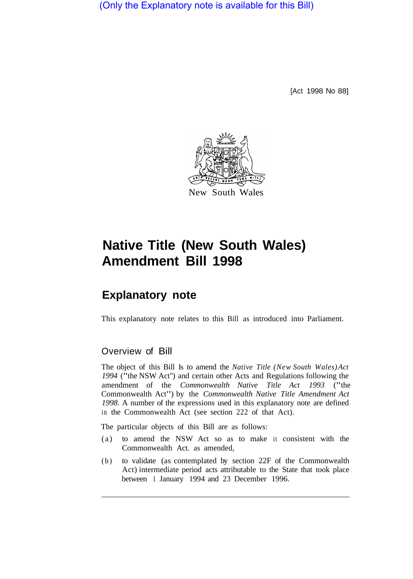(Only the Explanatory note is available for this Bill)

[Act 1998 No 88]



# **Native Title (New South Wales) Amendment Bill 1998**

# **Explanatory note**

This explanatory note relates to this Bill as introduced into Parliament.

# Overview of Bill

The object of this Bill Is to amend the *Native Title (New South Wales) Act <sup>1994</sup>*("the NSW Act'') and certain other Acts and Regulations following the amendment of the *Commonwealth Native Title Act 1993* ("the Commonwealth Act") by the *Commonwealth Native Title Amendment Act 1998.* A number of the expressions used in this explanatory note are defined in the Commonwealth Act (see section 222 of that Act).

The particular objects of this Bill are as follows:

- (a) to amend the NSW Act so as to make it consistent with the Commonwealth Act. as amended,
- (b) to validate (as contemplated by section 22F of the Commonwealth Act) intermediate period acts attributable to the State that took place between 1 January 1994 and 23 December 1996.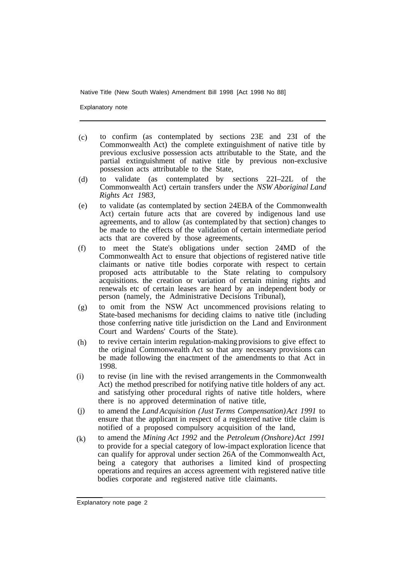Explanatory note

- to confirm (as contemplated by sections 23E and 23I of the Commonwealth Act) the complete extinguishment of native title by previous exclusive possession acts attributable to the State, and the partial extinguishment of native title by previous non-exclusive possession acts attributable to the State, (c)
- to validate (as contemplated by sections 22I–22L of the Commonwealth Act) certain transfers under the *NSW Aboriginal Land Rights Act 1983,*  (d)
- to validate (as contemplated by section 24EBA of the Commonwealth Act) certain future acts that are covered by indigenous land use agreements, and to allow (as contemplated by that section) changes to be made to the effects of the validation of certain intermediate period acts that are covered by those agreements, (e)
- to meet the State's obligations under section 24MD of the Commonwealth Act to ensure that objections of registered native title claimants or native title bodies corporate with respect to certain proposed acts attributable to the State relating to compulsory acquisitions. the creation or variation of certain mining rights and renewals etc of certain leases are heard by an independent body or person (namely, the Administrative Decisions Tribunal), (f)
- to omit from the NSW Act uncommenced provisions relating to State-based mechanisms for deciding claims to native title (including those conferring native title jurisdiction on the Land and Environment Court and Wardens' Courts of the State). (g)
- to revive certain interim regulation-making provisions to give effect to the original Commonwealth Act so that any necessary provisions can be made following the enactment of the amendments to that Act in 1998. (h)
- to revise (in line with the revised arrangements in the Commonwealth Act) the method prescribed for notifying native title holders of any act. and satisfying other procedural rights of native title holders, where there is no approved determination of native title, (i)
- to amend the *Land Acquisition (Just Terms Compensation) Act 1991* to ensure that the applicant in respect of a registered native title claim is notified of a proposed compulsory acquisition of the land, (j)
- to amend the *Mining Act 1992* and the *Petroleum (Onshore) Act 1991*  to provide for a special category of low-impact exploration licence that can qualify for approval under section 26A of the Commonwealth Act, being a category that authorises a limited kind of prospecting operations and requires an access agreement with registered native title bodies corporate and registered native title claimants. (k)

Explanatory note page 2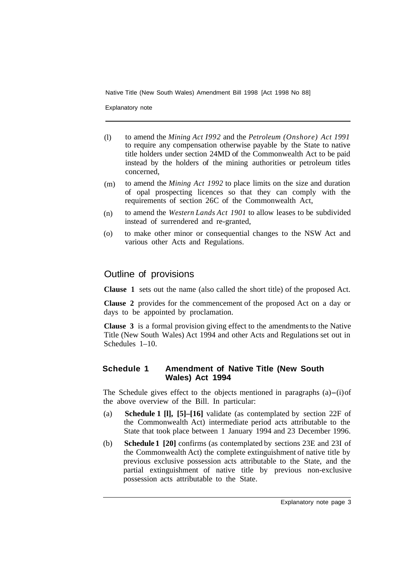Explanatory note

- to amend the *Mining Act I992* and the *Petroleum (Onshore) Act 1991*  to require any compensation otherwise payable by the State to native title holders under section 24MD of the Commonwealth Act to be paid instead by the holders of the mining authorities or petroleum titles concerned, (l)
- to amend the *Mining Act 1992* to place limits on the size and duration of opal prospecting licences so that they can comply with the requirements of section 26C of the Commonwealth Act, (m)
- to amend the *Western Lands Act 1901* to allow leases to be subdivided instead of surrendered and re-granted, (n)
- to make other minor or consequential changes to the NSW Act and various other Acts and Regulations. (o)

# Outline of provisions

**Clause 1** sets out the name (also called the short title) of the proposed Act.

**Clause 2** provides for the commencement of the proposed Act on a day or days to be appointed by proclamation.

**Clause 3** is a formal provision giving effect to the amendments to the Native Title (New South Wales) Act 1994 and other Acts and Regulations set out in Schedules 1–10.

#### **Schedule 1 Amendment of Native Title (New South Wales) Act 1994**

The Schedule gives effect to the objects mentioned in paragraphs (a)-(i) of the above overview of the Bill. In particular:

- (a) **Schedule 1 [l], [5]–[16]** validate (as contemplated by section 22F of the Commonwealth Act) intermediate period acts attributable to the State that took place between 1 January 1994 and 23 December 1996.
- (b) **Schedule 1 [20]** confirms (as contemplated by sections 23E and 23I of the Commonwealth Act) the complete extinguishment of native title by previous exclusive possession acts attributable to the State, and the partial extinguishment of native title by previous non-exclusive possession acts attributable to the State.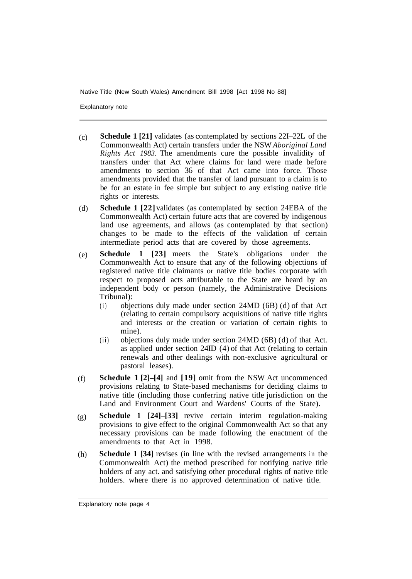Explanatory note

- **Schedule 1 [21]** validates (as contemplated by sections 22I–22L of the Commonwealth Act) certain transfers under the NSW *Aboriginal Land Rights Act 1983.* The amendments cure the possible invalidity of transfers under that Act where claims for land were made before amendments to section 36 of that Act came into force. Those amendments provided that the transfer of land pursuant to a claim is to be for an estate in fee simple but subject to any existing native title rights or interests.  $(c)$
- **Schedule 1 [22]** validates (as contemplated by section 24EBA of the Commonwealth Act) certain future acts that are covered by indigenous land use agreements, and allows (as contemplated by that section) changes to be made to the effects of the validation of certain intermediate period acts that are covered by those agreements. (d)
- **Schedule 1 [23]** meets the State's obligations under the Commonwealth Act to ensure that any of the following objections of registered native title claimants or native title bodies corporate with respect to proposed acts attributable to the State are heard by an independent body or person (namely, the Administrative Decisions Tribunal): (e)
	- (i) objections duly made under section 24MD (6B) (d) of that Act (relating to certain compulsory acquisitions of native title rights and interests or the creation or variation of certain rights to mine).
	- (ii) objections duly made under section 24MD (6B) (d) of that Act. as applied under section 24ID (4) of that Act (relating to certain renewals and other dealings with non-exclusive agricultural or pastoral leases).
- **Schedule 1 [2]–[4]** and **[19]** omit from the NSW Act uncommenced provisions relating to State-based mechanisms for deciding claims to native title (including those conferring native title jurisdiction on the Land and Environment Court and Wardens' Courts of the State). (f)
- **Schedule 1 [24]–[33]** revive certain interim regulation-making provisions to give effect to the original Commonwealth Act so that any necessary provisions can be made following the enactment of the amendments to that Act in 1998. (g)
- **Schedule 1 [34]** revises (in line with the revised arrangements in the Commonwealth Act) the method prescribed for notifying native title holders of any act. and satisfying other procedural rights of native title holders. where there is no approved determination of native title. (h)

Explanatory note page 4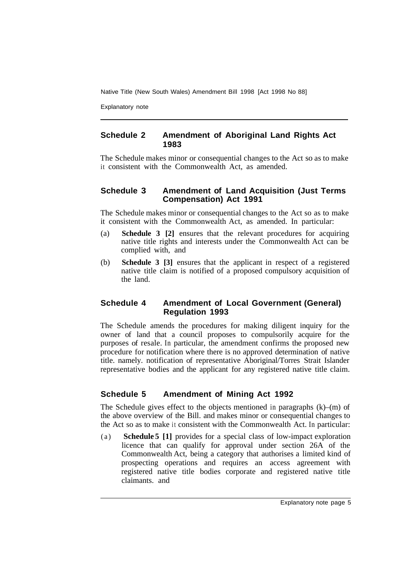Explanatory note

#### **Schedule 2 Amendment of Aboriginal Land Rights Act 1983**

The Schedule makes minor or consequential changes to the Act so as to make it consistent with the Commonwealth Act, as amended.

#### **Schedule 3 Amendment of Land Acquisition (Just Terms Compensation) Act 1991**

The Schedule makes minor or consequential changes to the Act so as to make it consistent with the Commonwealth Act, as amended. In particular:

- (a) **Schedule 3 [2]** ensures that the relevant procedures for acquiring native title rights and interests under the Commonwealth Act can be complied with, and
- (b) **Schedule 3 [3]** ensures that the applicant in respect of a registered native title claim is notified of a proposed compulsory acquisition of the land.

#### **Schedule 4 Amendment of Local Government (General) Regulation 1993**

The Schedule amends the procedures for making diligent inquiry for the owner of land that a council proposes to compulsorily acquire for the purposes of resale. In particular, the amendment confirms the proposed new procedure for notification where there is no approved determination of native title. namely. notification of representative Aboriginal/Torres Strait Islander representative bodies and the applicant for any registered native title claim.

# **Schedule 5 Amendment of Mining Act 1992**

The Schedule gives effect to the objects mentioned in paragraphs  $(k)$ –(m) of the above overview of the Bill. and makes minor or consequential changes to the Act so as to make it consistent with the Commonwealth Act. In particular:

(a) **Schedule 5 [1]** provides for a special class of low-impact exploration licence that can qualify for approval under section 26A of the Commonwealth Act, being a category that authorises a limited kind of prospecting operations and requires an access agreement with registered native title bodies corporate and registered native title claimants. and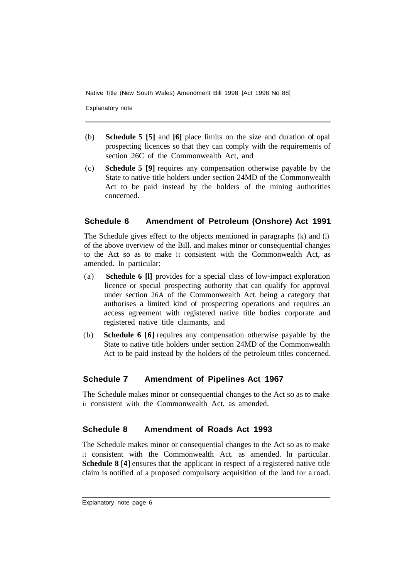Explanatory note

- (b) **Schedule 5 [5]** and **[6]** place limits on the size and duration of opal prospecting licences so that they can comply with the requirements of section 26C of the Commonwealth Act, and
- (c) **Schedule 5 [9]** requires any compensation otherwise payable by the State to native title holders under section 24MD of the Commonwealth Act to be paid instead by the holders of the mining authorities concerned.

#### **Schedule 6 Amendment of Petroleum (Onshore) Act 1991**

The Schedule gives effect to the objects mentioned in paragraphs (k) and (1) of the above overview of the Bill. and makes minor or consequential changes to the Act so as to make it consistent with the Commonwealth Act, as amended. In particular:

- (a) **Schedule 6 [l]** provides for a special class of low-impact exploration licence or special prospecting authority that can qualify for approval under section 26A of the Commonwealth Act. being a category that authorises a limited kind of prospecting operations and requires an access agreement with registered native title bodies corporate and registered native title claimants, and
- (b) **Schedule 6 [6]** requires any compensation otherwise payable by the State to native title holders under section 24MD of the Commonwealth Act to be paid instead by the holders of the petroleum titles concerned.

#### **Schedule 7 Amendment of Pipelines Act 1967**

The Schedule makes minor or consequential changes to the Act so as to make it consistent with the Commonwealth Act, as amended.

#### **Schedule 8 Amendment of Roads Act 1993**

The Schedule makes minor or consequential changes to the Act so as to make it consistent with the Commonwealth Act. as amended. In particular. **Schedule 8 [4]** ensures that the applicant in respect of a registered native title claim is notified of a proposed compulsory acquisition of the land for a road.